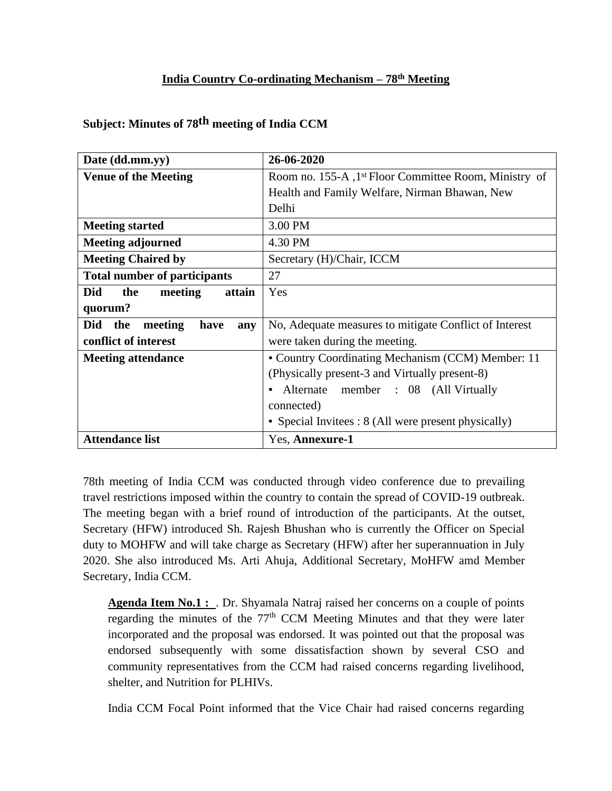## **India Country Co-ordinating Mechanism – 78th Meeting**

| Date (dd.mm.yy)                      | 26-06-2020                                             |
|--------------------------------------|--------------------------------------------------------|
| <b>Venue of the Meeting</b>          | Room no. 155-A , 1st Floor Committee Room, Ministry of |
|                                      | Health and Family Welfare, Nirman Bhawan, New          |
|                                      | Delhi                                                  |
| <b>Meeting started</b>               | 3.00 PM                                                |
| <b>Meeting adjourned</b>             | 4.30 PM                                                |
| <b>Meeting Chaired by</b>            | Secretary (H)/Chair, ICCM                              |
| <b>Total number of participants</b>  | 27                                                     |
| Did<br>the<br>meeting<br>attain      | Yes                                                    |
| quorum?                              |                                                        |
| Did<br>the<br>meeting<br>have<br>any | No, Adequate measures to mitigate Conflict of Interest |
| conflict of interest                 | were taken during the meeting.                         |
| <b>Meeting attendance</b>            | • Country Coordinating Mechanism (CCM) Member: 11      |
|                                      | (Physically present-3 and Virtually present-8)         |
|                                      | Alternate member : 08 (All Virtually<br>$\blacksquare$ |
|                                      | connected)                                             |
|                                      | • Special Invitees $: 8$ (All were present physically) |
| <b>Attendance list</b>               | Yes, Annexure-1                                        |

**Subject: Minutes of 78th meeting of India CCM**

78th meeting of India CCM was conducted through video conference due to prevailing travel restrictions imposed within the country to contain the spread of COVID-19 outbreak. The meeting began with a brief round of introduction of the participants. At the outset, Secretary (HFW) introduced Sh. Rajesh Bhushan who is currently the Officer on Special duty to MOHFW and will take charge as Secretary (HFW) after her superannuation in July 2020. She also introduced Ms. Arti Ahuja, Additional Secretary, MoHFW amd Member Secretary, India CCM.

**Agenda Item No.1 :** . Dr. Shyamala Natraj raised her concerns on a couple of points regarding the minutes of the  $77<sup>th</sup>$  CCM Meeting Minutes and that they were later incorporated and the proposal was endorsed. It was pointed out that the proposal was endorsed subsequently with some dissatisfaction shown by several CSO and community representatives from the CCM had raised concerns regarding livelihood, shelter, and Nutrition for PLHIVs.

India CCM Focal Point informed that the Vice Chair had raised concerns regarding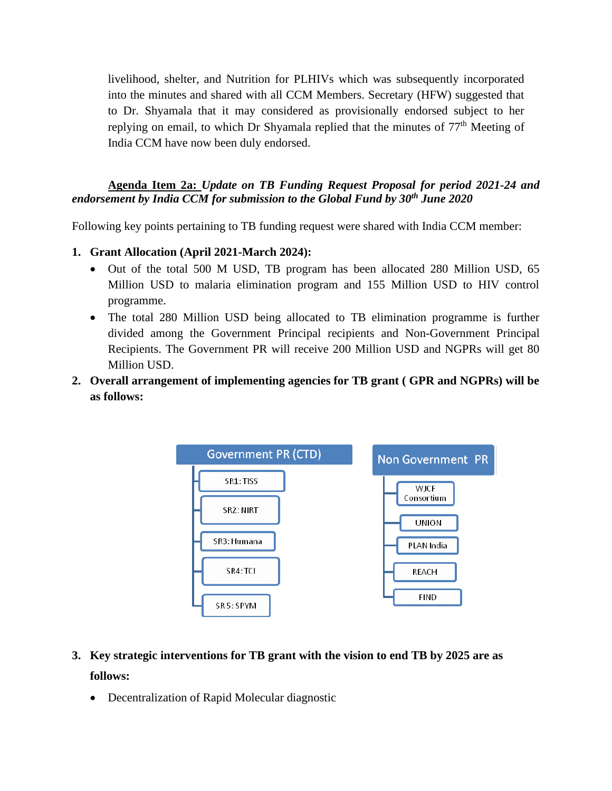livelihood, shelter, and Nutrition for PLHIVs which was subsequently incorporated into the minutes and shared with all CCM Members. Secretary (HFW) suggested that to Dr. Shyamala that it may considered as provisionally endorsed subject to her replying on email, to which Dr Shyamala replied that the minutes of  $77<sup>th</sup>$  Meeting of India CCM have now been duly endorsed.

**Agenda Item 2a:** *Update on TB Funding Request Proposal for period 2021-24 and endorsement by India CCM for submission to the Global Fund by 30th June 2020*

Following key points pertaining to TB funding request were shared with India CCM member:

- **1. Grant Allocation (April 2021-March 2024):** 
	- Out of the total 500 M USD, TB program has been allocated 280 Million USD, 65 Million USD to malaria elimination program and 155 Million USD to HIV control programme.
	- The total 280 Million USD being allocated to TB elimination programme is further divided among the Government Principal recipients and Non-Government Principal Recipients. The Government PR will receive 200 Million USD and NGPRs will get 80 Million USD.
- **2. Overall arrangement of implementing agencies for TB grant ( GPR and NGPRs) will be as follows:**



- **3. Key strategic interventions for TB grant with the vision to end TB by 2025 are as follows:**
	- Decentralization of Rapid Molecular diagnostic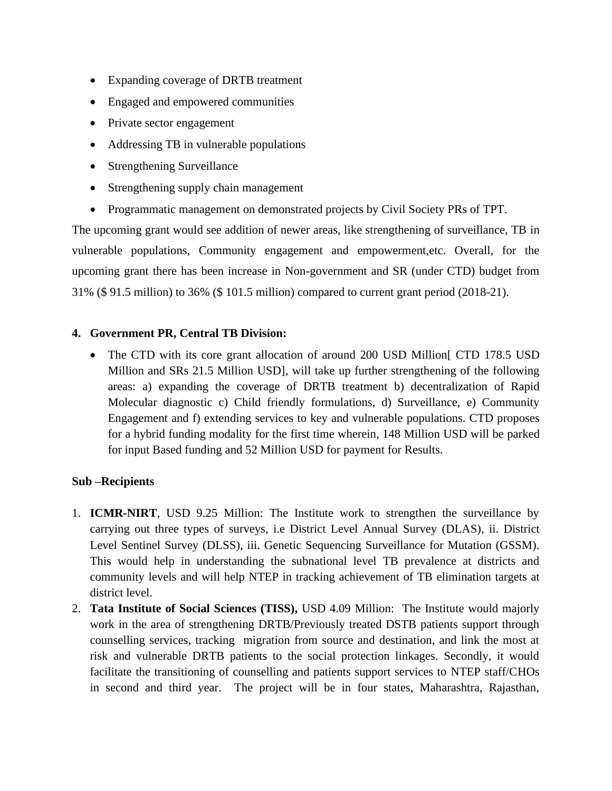- Expanding coverage of DRTB treatment
- Engaged and empowered communities
- Private sector engagement
- Addressing TB in vulnerable populations
- Strengthening Surveillance
- Strengthening supply chain management
- Programmatic management on demonstrated projects by Civil Society PRs of TPT.

The upcoming grant would see addition of newer areas, like strengthening of surveillance, TB in vulnerable populations, Community engagement and empowerment,etc. Overall, for the upcoming grant there has been increase in Non-government and SR (under CTD) budget from 31% (\$ 91.5 million) to 36% (\$ 101.5 million) compared to current grant period (2018-21).

#### **4. Government PR, Central TB Division:**

• The CTD with its core grant allocation of around 200 USD Million [CTD 178.5 USD] Million and SRs 21.5 Million USD], will take up further strengthening of the following areas: a) expanding the coverage of DRTB treatment b) decentralization of Rapid Molecular diagnostic c) Child friendly formulations, d) Surveillance, e) Community Engagement and f) extending services to key and vulnerable populations. CTD proposes for a hybrid funding modality for the first time wherein, 148 Million USD will be parked for input Based funding and 52 Million USD for payment for Results.

#### **Sub –Recipients**

- 1. **ICMR-NIRT**, USD 9.25 Million: The Institute work to strengthen the surveillance by carrying out three types of surveys, i.e District Level Annual Survey (DLAS), ii. District Level Sentinel Survey (DLSS), iii. Genetic Sequencing Surveillance for Mutation (GSSM). This would help in understanding the subnational level TB prevalence at districts and community levels and will help NTEP in tracking achievement of TB elimination targets at district level.
- 2. **Tata Institute of Social Sciences (TISS),** USD 4.09 Million: The Institute would majorly work in the area of strengthening DRTB/Previously treated DSTB patients support through counselling services, tracking migration from source and destination, and link the most at risk and vulnerable DRTB patients to the social protection linkages. Secondly, it would facilitate the transitioning of counselling and patients support services to NTEP staff/CHOs in second and third year. The project will be in four states, Maharashtra, Rajasthan,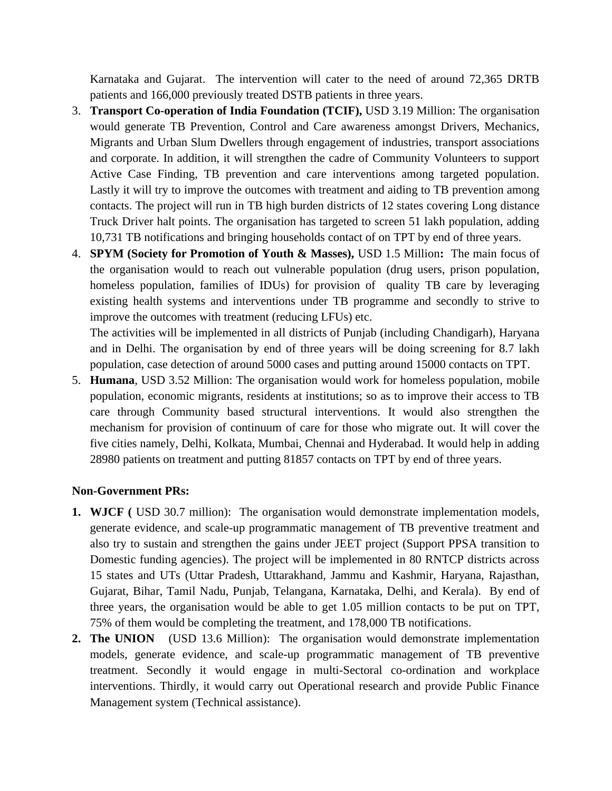Karnataka and Gujarat. The intervention will cater to the need of around 72,365 DRTB patients and 166,000 previously treated DSTB patients in three years.

- 3. **Transport Co-operation of India Foundation (TCIF),** USD 3.19 Million: The organisation would generate TB Prevention, Control and Care awareness amongst Drivers, Mechanics, Migrants and Urban Slum Dwellers through engagement of industries, transport associations and corporate. In addition, it will strengthen the cadre of Community Volunteers to support Active Case Finding, TB prevention and care interventions among targeted population. Lastly it will try to improve the outcomes with treatment and aiding to TB prevention among contacts. The project will run in TB high burden districts of 12 states covering Long distance Truck Driver halt points. The organisation has targeted to screen 51 lakh population, adding 10,731 TB notifications and bringing households contact of on TPT by end of three years.
- 4. **SPYM (Society for Promotion of Youth & Masses),** USD 1.5 Million**:** The main focus of the organisation would to reach out vulnerable population (drug users, prison population, homeless population, families of IDUs) for provision of quality TB care by leveraging existing health systems and interventions under TB programme and secondly to strive to improve the outcomes with treatment (reducing LFUs) etc.

The activities will be implemented in all districts of Punjab (including Chandigarh), Haryana and in Delhi. The organisation by end of three years will be doing screening for 8.7 lakh population, case detection of around 5000 cases and putting around 15000 contacts on TPT.

5. **Humana**, USD 3.52 Million: The organisation would work for homeless population, mobile population, economic migrants, residents at institutions; so as to improve their access to TB care through Community based structural interventions. It would also strengthen the mechanism for provision of continuum of care for those who migrate out. It will cover the five cities namely, Delhi, Kolkata, Mumbai, Chennai and Hyderabad. It would help in adding 28980 patients on treatment and putting 81857 contacts on TPT by end of three years.

#### **Non-Government PRs:**

- **1. WJCF (** USD 30.7 million): The organisation would demonstrate implementation models, generate evidence, and scale-up programmatic management of TB preventive treatment and also try to sustain and strengthen the gains under JEET project (Support PPSA transition to Domestic funding agencies). The project will be implemented in 80 RNTCP districts across 15 states and UTs (Uttar Pradesh, Uttarakhand, Jammu and Kashmir, Haryana, Rajasthan, Gujarat, Bihar, Tamil Nadu, Punjab, Telangana, Karnataka, Delhi, and Kerala). By end of three years, the organisation would be able to get 1.05 million contacts to be put on TPT, 75% of them would be completing the treatment, and 178,000 TB notifications.
- **2. The UNION** (USD 13.6 Million): The organisation would demonstrate implementation models, generate evidence, and scale-up programmatic management of TB preventive treatment. Secondly it would engage in multi-Sectoral co-ordination and workplace interventions. Thirdly, it would carry out Operational research and provide Public Finance Management system (Technical assistance).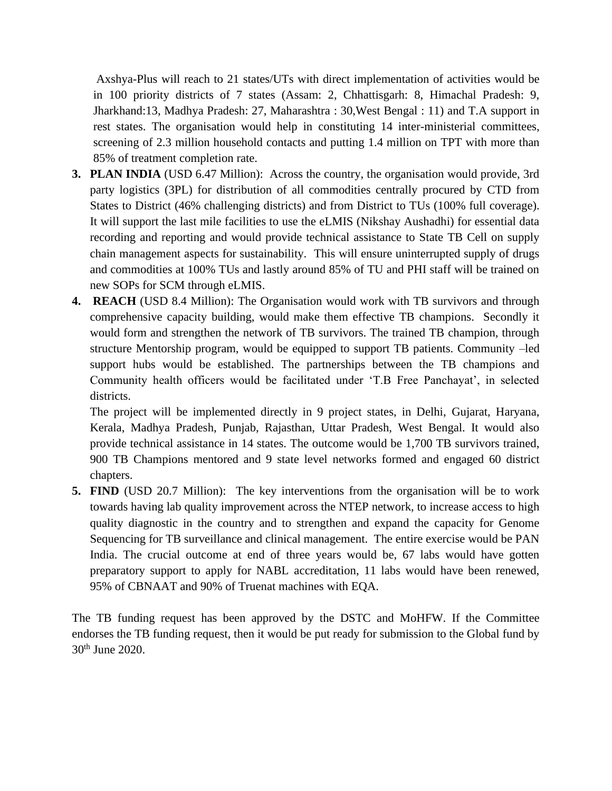Axshya-Plus will reach to 21 states/UTs with direct implementation of activities would be in 100 priority districts of 7 states (Assam: 2, Chhattisgarh: 8, Himachal Pradesh: 9, Jharkhand:13, Madhya Pradesh: 27, Maharashtra : 30,West Bengal : 11) and T.A support in rest states. The organisation would help in constituting 14 inter-ministerial committees, screening of 2.3 million household contacts and putting 1.4 million on TPT with more than 85% of treatment completion rate.

- **3. PLAN INDIA** (USD 6.47 Million): Across the country, the organisation would provide, 3rd party logistics (3PL) for distribution of all commodities centrally procured by CTD from States to District (46% challenging districts) and from District to TUs (100% full coverage). It will support the last mile facilities to use the eLMIS (Nikshay Aushadhi) for essential data recording and reporting and would provide technical assistance to State TB Cell on supply chain management aspects for sustainability. This will ensure uninterrupted supply of drugs and commodities at 100% TUs and lastly around 85% of TU and PHI staff will be trained on new SOPs for SCM through eLMIS.
- **4. REACH** (USD 8.4 Million): The Organisation would work with TB survivors and through comprehensive capacity building, would make them effective TB champions. Secondly it would form and strengthen the network of TB survivors. The trained TB champion, through structure Mentorship program, would be equipped to support TB patients. Community –led support hubs would be established. The partnerships between the TB champions and Community health officers would be facilitated under 'T.B Free Panchayat', in selected districts.

The project will be implemented directly in 9 project states, in Delhi, Gujarat, Haryana, Kerala, Madhya Pradesh, Punjab, Rajasthan, Uttar Pradesh, West Bengal. It would also provide technical assistance in 14 states. The outcome would be 1,700 TB survivors trained, 900 TB Champions mentored and 9 state level networks formed and engaged 60 district chapters.

**5. FIND** (USD 20.7 Million): The key interventions from the organisation will be to work towards having lab quality improvement across the NTEP network, to increase access to high quality diagnostic in the country and to strengthen and expand the capacity for Genome Sequencing for TB surveillance and clinical management. The entire exercise would be PAN India. The crucial outcome at end of three years would be, 67 labs would have gotten preparatory support to apply for NABL accreditation, 11 labs would have been renewed, 95% of CBNAAT and 90% of Truenat machines with EQA.

The TB funding request has been approved by the DSTC and MoHFW. If the Committee endorses the TB funding request, then it would be put ready for submission to the Global fund by 30th June 2020.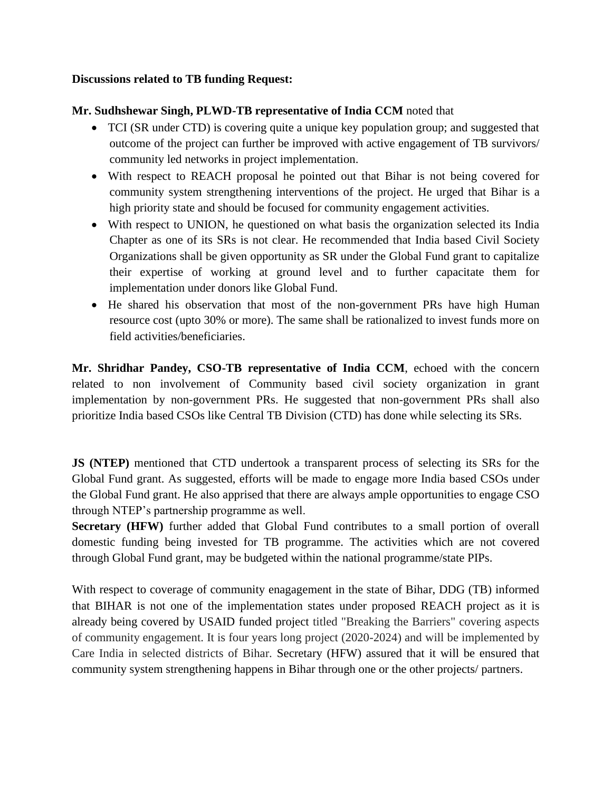#### **Discussions related to TB funding Request:**

#### **Mr. Sudhshewar Singh, PLWD-TB representative of India CCM** noted that

- TCI (SR under CTD) is covering quite a unique key population group; and suggested that outcome of the project can further be improved with active engagement of TB survivors/ community led networks in project implementation.
- With respect to REACH proposal he pointed out that Bihar is not being covered for community system strengthening interventions of the project. He urged that Bihar is a high priority state and should be focused for community engagement activities.
- With respect to UNION, he questioned on what basis the organization selected its India Chapter as one of its SRs is not clear. He recommended that India based Civil Society Organizations shall be given opportunity as SR under the Global Fund grant to capitalize their expertise of working at ground level and to further capacitate them for implementation under donors like Global Fund.
- He shared his observation that most of the non-government PRs have high Human resource cost (upto 30% or more). The same shall be rationalized to invest funds more on field activities/beneficiaries.

**Mr. Shridhar Pandey, CSO-TB representative of India CCM**, echoed with the concern related to non involvement of Community based civil society organization in grant implementation by non-government PRs. He suggested that non-government PRs shall also prioritize India based CSOs like Central TB Division (CTD) has done while selecting its SRs.

**JS (NTEP)** mentioned that CTD undertook a transparent process of selecting its SRs for the Global Fund grant. As suggested, efforts will be made to engage more India based CSOs under the Global Fund grant. He also apprised that there are always ample opportunities to engage CSO through NTEP's partnership programme as well.

**Secretary (HFW)** further added that Global Fund contributes to a small portion of overall domestic funding being invested for TB programme. The activities which are not covered through Global Fund grant, may be budgeted within the national programme/state PIPs.

With respect to coverage of community enagagement in the state of Bihar, DDG (TB) informed that BIHAR is not one of the implementation states under proposed REACH project as it is already being covered by USAID funded project titled "Breaking the Barriers" covering aspects of community engagement. It is four years long project (2020-2024) and will be implemented by Care India in selected districts of Bihar. Secretary (HFW) assured that it will be ensured that community system strengthening happens in Bihar through one or the other projects/ partners.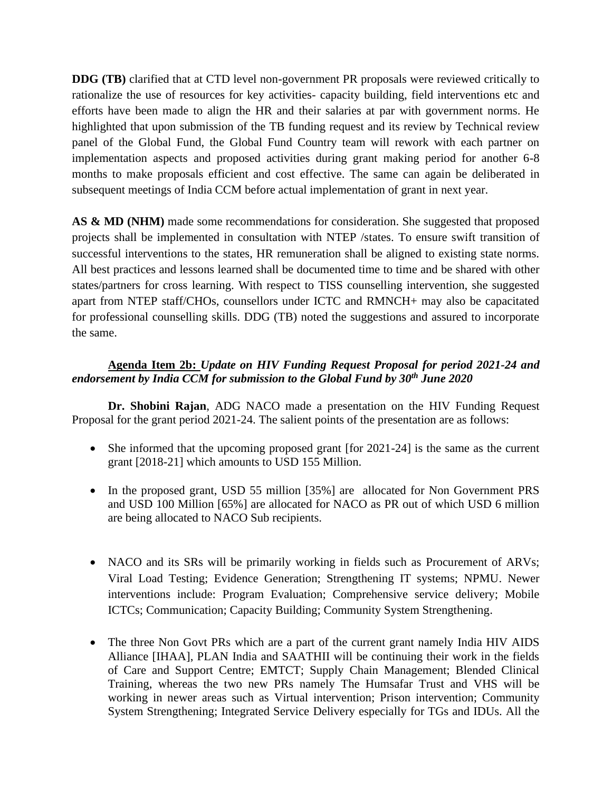**DDG (TB)** clarified that at CTD level non-government PR proposals were reviewed critically to rationalize the use of resources for key activities- capacity building, field interventions etc and efforts have been made to align the HR and their salaries at par with government norms. He highlighted that upon submission of the TB funding request and its review by Technical review panel of the Global Fund, the Global Fund Country team will rework with each partner on implementation aspects and proposed activities during grant making period for another 6-8 months to make proposals efficient and cost effective. The same can again be deliberated in subsequent meetings of India CCM before actual implementation of grant in next year.

AS & MD (NHM) made some recommendations for consideration. She suggested that proposed projects shall be implemented in consultation with NTEP /states. To ensure swift transition of successful interventions to the states, HR remuneration shall be aligned to existing state norms. All best practices and lessons learned shall be documented time to time and be shared with other states/partners for cross learning. With respect to TISS counselling intervention, she suggested apart from NTEP staff/CHOs, counsellors under ICTC and RMNCH+ may also be capacitated for professional counselling skills. DDG (TB) noted the suggestions and assured to incorporate the same.

## **Agenda Item 2b:** *Update on HIV Funding Request Proposal for period 2021-24 and endorsement by India CCM for submission to the Global Fund by 30th June 2020*

**Dr. Shobini Rajan**, ADG NACO made a presentation on the HIV Funding Request Proposal for the grant period 2021-24. The salient points of the presentation are as follows:

- She informed that the upcoming proposed grant [for 2021-24] is the same as the current grant [2018-21] which amounts to USD 155 Million.
- In the proposed grant, USD 55 million [35%] are allocated for Non Government PRS and USD 100 Million [65%] are allocated for NACO as PR out of which USD 6 million are being allocated to NACO Sub recipients.
- NACO and its SRs will be primarily working in fields such as Procurement of ARVs; Viral Load Testing; Evidence Generation; Strengthening IT systems; NPMU. Newer interventions include: Program Evaluation; Comprehensive service delivery; Mobile ICTCs; Communication; Capacity Building; Community System Strengthening.
- The three Non Govt PRs which are a part of the current grant namely India HIV AIDS Alliance [IHAA], PLAN India and SAATHII will be continuing their work in the fields of Care and Support Centre; EMTCT; Supply Chain Management; Blended Clinical Training, whereas the two new PRs namely The Humsafar Trust and VHS will be working in newer areas such as Virtual intervention; Prison intervention; Community System Strengthening; Integrated Service Delivery especially for TGs and IDUs. All the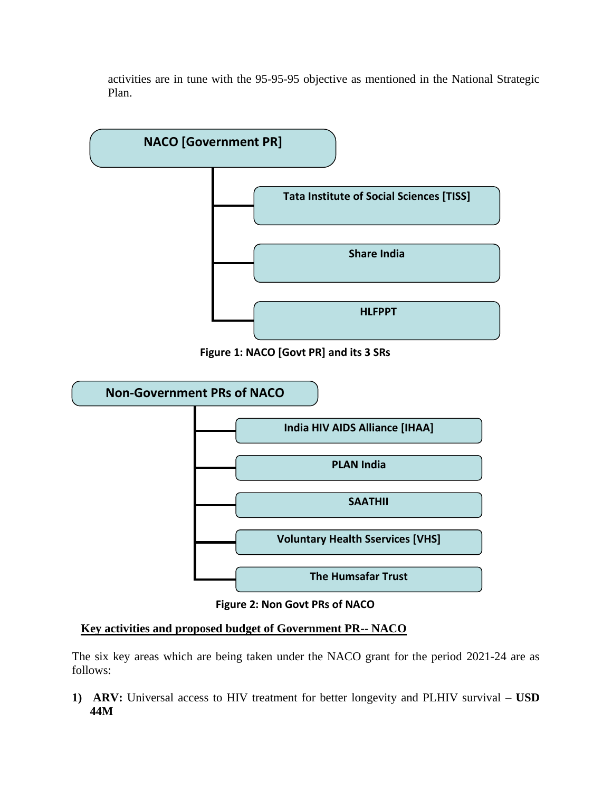activities are in tune with the 95-95-95 objective as mentioned in the National Strategic Plan.



**Figure 1: NACO [Govt PR] and its 3 SRs**



**Figure 2: Non Govt PRs of NACO**

#### **Key activities and proposed budget of Government PR-- NACO**

The six key areas which are being taken under the NACO grant for the period 2021-24 are as follows:

**1) ARV:** Universal access to HIV treatment for better longevity and PLHIV survival – **USD 44M**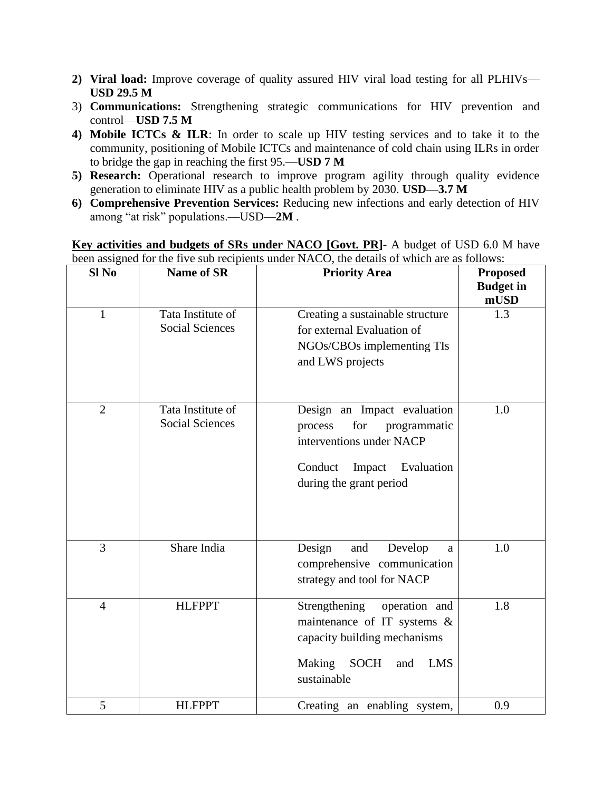- **2) Viral load:** Improve coverage of quality assured HIV viral load testing for all PLHIVs— **USD 29.5 M**
- 3) **Communications:** Strengthening strategic communications for HIV prevention and control—**USD 7.5 M**
- **4) Mobile ICTCs & ILR**: In order to scale up HIV testing services and to take it to the community, positioning of Mobile ICTCs and maintenance of cold chain using ILRs in order to bridge the gap in reaching the first 95.—**USD 7 M**
- 5) **Research:** Operational research to improve program agility through quality evidence generation to eliminate HIV as a public health problem by 2030. **USD—3.7 M**
- **6) Comprehensive Prevention Services:** Reducing new infections and early detection of HIV among "at risk" populations.—USD—**2M** .

**Key activities and budgets of SRs under NACO [Govt. PR]-** A budget of USD 6.0 M have been assigned for the five sub recipients under NACO, the details of which are as follows:

| Sl <sub>No</sub> | <b>Name of SR</b>                           | <b>Priority Area</b>                                                                                                                                       | <b>Proposed</b><br><b>Budget</b> in<br>mUSD |
|------------------|---------------------------------------------|------------------------------------------------------------------------------------------------------------------------------------------------------------|---------------------------------------------|
| $\mathbf{1}$     | Tata Institute of<br><b>Social Sciences</b> | Creating a sustainable structure<br>for external Evaluation of<br>NGOs/CBOs implementing TIs<br>and LWS projects                                           | 1.3                                         |
| $\overline{2}$   | Tata Institute of<br><b>Social Sciences</b> | Design an Impact evaluation<br>for<br>programmatic<br>process<br>interventions under NACP<br>Conduct<br>Impact<br>Evaluation<br>during the grant period    | 1.0                                         |
| $\overline{3}$   | Share India                                 | Design<br>Develop<br>and<br>a<br>comprehensive communication<br>strategy and tool for NACP                                                                 | 1.0                                         |
| $\overline{4}$   | <b>HLFPPT</b>                               | Strengthening<br>operation and<br>maintenance of IT systems &<br>capacity building mechanisms<br>Making<br><b>SOCH</b><br><b>LMS</b><br>and<br>sustainable | 1.8                                         |
| 5                | <b>HLFPPT</b>                               | Creating an enabling system,                                                                                                                               | 0.9                                         |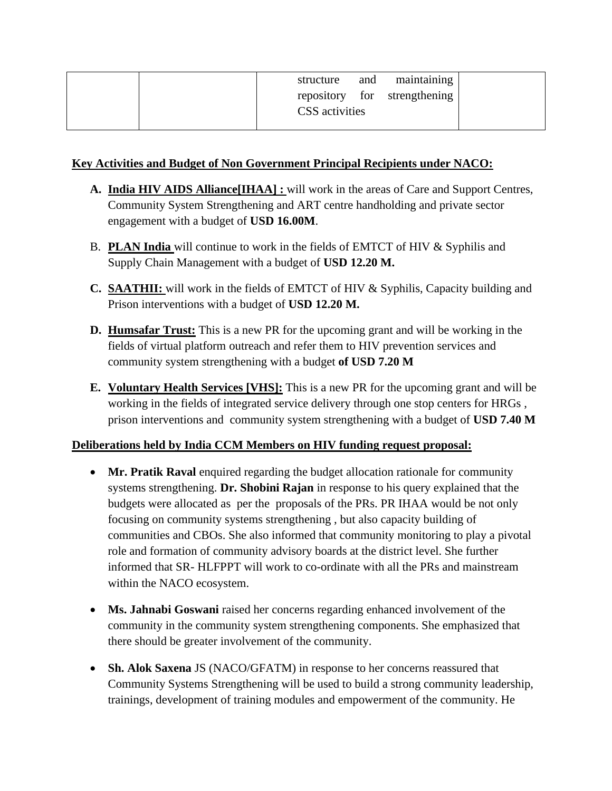| repository for strengthening<br>CSS activities |  | structure | and | maintaining |
|------------------------------------------------|--|-----------|-----|-------------|
|                                                |  |           |     |             |
|                                                |  |           |     |             |

### **Key Activities and Budget of Non Government Principal Recipients under NACO:**

- **A. India HIV AIDS Alliance[IHAA] :** will work in the areas of Care and Support Centres, Community System Strengthening and ART centre handholding and private sector engagement with a budget of **USD 16.00M**.
- B. **PLAN India** will continue to work in the fields of EMTCT of HIV & Syphilis and Supply Chain Management with a budget of **USD 12.20 M.**
- **C. SAATHII:** will work in the fields of EMTCT of HIV & Syphilis, Capacity building and Prison interventions with a budget of **USD 12.20 M.**
- **D. Humsafar Trust:** This is a new PR for the upcoming grant and will be working in the fields of virtual platform outreach and refer them to HIV prevention services and community system strengthening with a budget **of USD 7.20 M**
- **E. Voluntary Health Services [VHS]:** This is a new PR for the upcoming grant and will be working in the fields of integrated service delivery through one stop centers for HRGs , prison interventions and community system strengthening with a budget of **USD 7.40 M**

#### **Deliberations held by India CCM Members on HIV funding request proposal:**

- **Mr. Pratik Raval** enquired regarding the budget allocation rationale for community systems strengthening. **Dr. Shobini Rajan** in response to his query explained that the budgets were allocated as per the proposals of the PRs. PR IHAA would be not only focusing on community systems strengthening , but also capacity building of communities and CBOs. She also informed that community monitoring to play a pivotal role and formation of community advisory boards at the district level. She further informed that SR- HLFPPT will work to co-ordinate with all the PRs and mainstream within the NACO ecosystem.
- **Ms. Jahnabi Goswani** raised her concerns regarding enhanced involvement of the community in the community system strengthening components. She emphasized that there should be greater involvement of the community.
- **Sh. Alok Saxena** JS (NACO/GFATM) in response to her concerns reassured that Community Systems Strengthening will be used to build a strong community leadership, trainings, development of training modules and empowerment of the community. He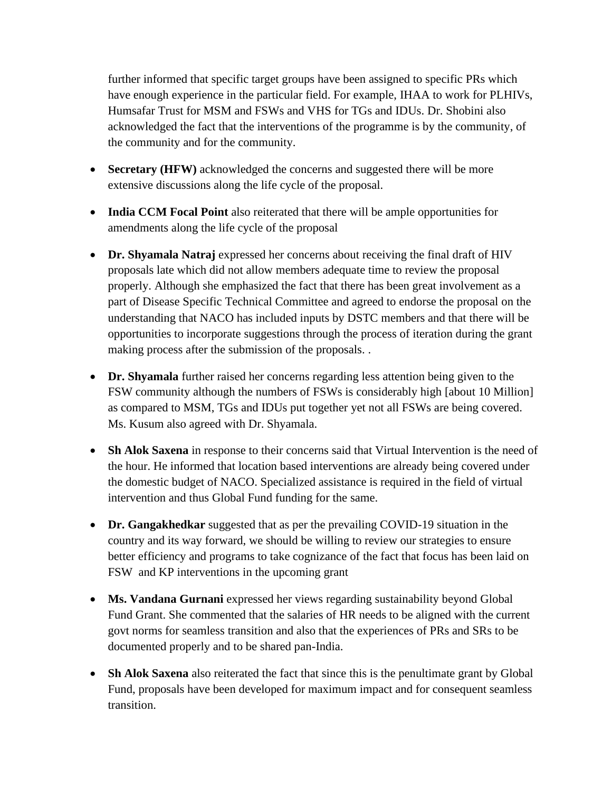further informed that specific target groups have been assigned to specific PRs which have enough experience in the particular field. For example, IHAA to work for PLHIVs, Humsafar Trust for MSM and FSWs and VHS for TGs and IDUs. Dr. Shobini also acknowledged the fact that the interventions of the programme is by the community, of the community and for the community.

- **Secretary (HFW)** acknowledged the concerns and suggested there will be more extensive discussions along the life cycle of the proposal.
- **India CCM Focal Point** also reiterated that there will be ample opportunities for amendments along the life cycle of the proposal
- **Dr. Shyamala Natraj** expressed her concerns about receiving the final draft of HIV proposals late which did not allow members adequate time to review the proposal properly. Although she emphasized the fact that there has been great involvement as a part of Disease Specific Technical Committee and agreed to endorse the proposal on the understanding that NACO has included inputs by DSTC members and that there will be opportunities to incorporate suggestions through the process of iteration during the grant making process after the submission of the proposals. .
- **Dr. Shyamala** further raised her concerns regarding less attention being given to the FSW community although the numbers of FSWs is considerably high [about 10 Million] as compared to MSM, TGs and IDUs put together yet not all FSWs are being covered. Ms. Kusum also agreed with Dr. Shyamala.
- **Sh Alok Saxena** in response to their concerns said that Virtual Intervention is the need of the hour. He informed that location based interventions are already being covered under the domestic budget of NACO. Specialized assistance is required in the field of virtual intervention and thus Global Fund funding for the same.
- **Dr. Gangakhedkar** suggested that as per the prevailing COVID-19 situation in the country and its way forward, we should be willing to review our strategies to ensure better efficiency and programs to take cognizance of the fact that focus has been laid on FSW and KP interventions in the upcoming grant
- **Ms. Vandana Gurnani** expressed her views regarding sustainability beyond Global Fund Grant. She commented that the salaries of HR needs to be aligned with the current govt norms for seamless transition and also that the experiences of PRs and SRs to be documented properly and to be shared pan-India.
- **Sh Alok Saxena** also reiterated the fact that since this is the penultimate grant by Global Fund, proposals have been developed for maximum impact and for consequent seamless transition.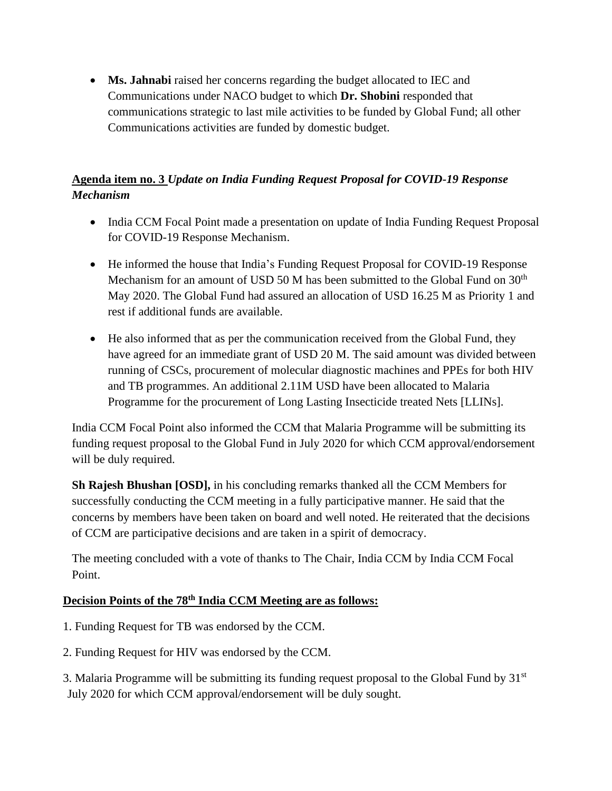• **Ms. Jahnabi** raised her concerns regarding the budget allocated to IEC and Communications under NACO budget to which **Dr. Shobini** responded that communications strategic to last mile activities to be funded by Global Fund; all other Communications activities are funded by domestic budget.

# **Agenda item no. 3** *Update on India Funding Request Proposal for COVID-19 Response Mechanism*

- India CCM Focal Point made a presentation on update of India Funding Request Proposal for COVID-19 Response Mechanism.
- He informed the house that India's Funding Request Proposal for COVID-19 Response Mechanism for an amount of USD 50 M has been submitted to the Global Fund on  $30<sup>th</sup>$ May 2020. The Global Fund had assured an allocation of USD 16.25 M as Priority 1 and rest if additional funds are available.
- He also informed that as per the communication received from the Global Fund, they have agreed for an immediate grant of USD 20 M. The said amount was divided between running of CSCs, procurement of molecular diagnostic machines and PPEs for both HIV and TB programmes. An additional 2.11M USD have been allocated to Malaria Programme for the procurement of Long Lasting Insecticide treated Nets [LLINs].

India CCM Focal Point also informed the CCM that Malaria Programme will be submitting its funding request proposal to the Global Fund in July 2020 for which CCM approval/endorsement will be duly required.

**Sh Rajesh Bhushan [OSD],** in his concluding remarks thanked all the CCM Members for successfully conducting the CCM meeting in a fully participative manner. He said that the concerns by members have been taken on board and well noted. He reiterated that the decisions of CCM are participative decisions and are taken in a spirit of democracy.

The meeting concluded with a vote of thanks to The Chair, India CCM by India CCM Focal Point.

# **Decision Points of the 78th India CCM Meeting are as follows:**

- 1. Funding Request for TB was endorsed by the CCM.
- 2. Funding Request for HIV was endorsed by the CCM.

3. Malaria Programme will be submitting its funding request proposal to the Global Fund by  $31<sup>st</sup>$ July 2020 for which CCM approval/endorsement will be duly sought.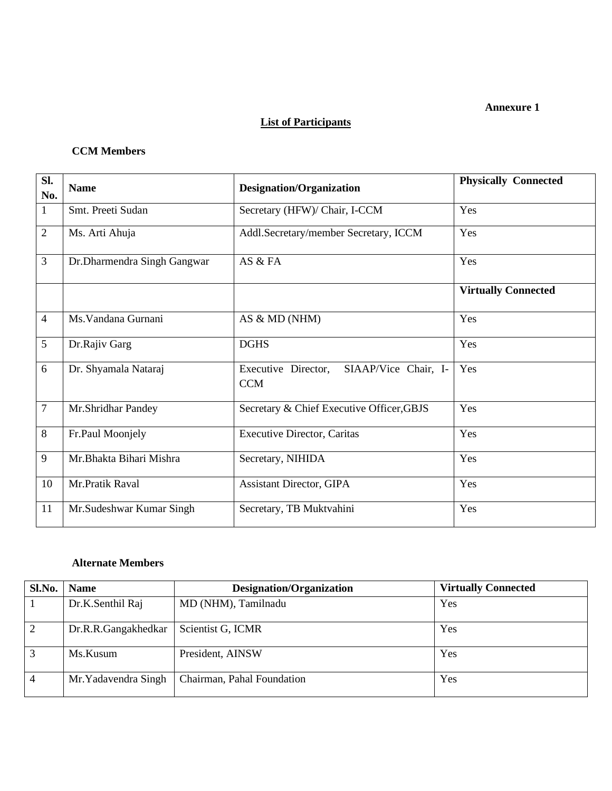#### **Annexure 1**

### **List of Participants**

#### **CCM Members**

| SI.<br>No.     | <b>Name</b>                 | Designation/Organization                                  | <b>Physically Connected</b> |
|----------------|-----------------------------|-----------------------------------------------------------|-----------------------------|
| $\mathbf{1}$   | Smt. Preeti Sudan           | Secretary (HFW)/ Chair, I-CCM                             | Yes                         |
| $\overline{2}$ | Ms. Arti Ahuja              | Addl.Secretary/member Secretary, ICCM                     | Yes                         |
| $\overline{3}$ | Dr.Dharmendra Singh Gangwar | AS & FA                                                   | Yes                         |
|                |                             |                                                           | <b>Virtually Connected</b>  |
| $\overline{4}$ | Ms. Vandana Gurnani         | AS & MD (NHM)                                             | Yes                         |
| 5              | Dr.Rajiv Garg               | <b>DGHS</b>                                               | Yes                         |
| 6              | Dr. Shyamala Nataraj        | SIAAP/Vice Chair, I-<br>Executive Director,<br><b>CCM</b> | Yes                         |
| $\tau$         | Mr.Shridhar Pandey          | Secretary & Chief Executive Officer, GBJS                 | Yes                         |
| 8              | Fr.Paul Moonjely            | <b>Executive Director, Caritas</b>                        | Yes                         |
| 9              | Mr.Bhakta Bihari Mishra     | Secretary, NIHIDA                                         | Yes                         |
| 10             | Mr.Pratik Raval             | <b>Assistant Director, GIPA</b>                           | Yes                         |
| 11             | Mr.Sudeshwar Kumar Singh    | Secretary, TB Muktvahini                                  | Yes                         |

#### **Alternate Members**

| Sl.No.         | <b>Name</b>          | <b>Designation/Organization</b> | <b>Virtually Connected</b> |
|----------------|----------------------|---------------------------------|----------------------------|
|                | Dr.K.Senthil Raj     | MD (NHM), Tamilnadu             | Yes                        |
| 2              | Dr.R.R.Gangakhedkar  | Scientist G, ICMR               | Yes                        |
| 3              | Ms.Kusum             | President, AINSW                | Yes                        |
| $\overline{4}$ | Mr. Yadavendra Singh | Chairman, Pahal Foundation      | Yes                        |